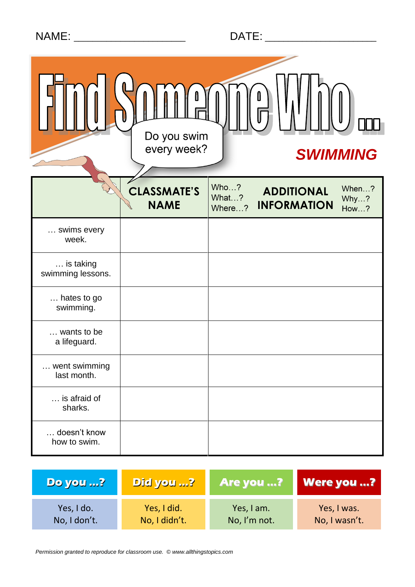|  | <b>NAME</b> |  |
|--|-------------|--|
|  |             |  |

|                                | Ô<br>Do you swim<br>every week?   |                         | <b>SWIMMING</b>                         |                              |
|--------------------------------|-----------------------------------|-------------------------|-----------------------------------------|------------------------------|
|                                | <b>CLASSMATE'S</b><br><b>NAME</b> | Who?<br>What?<br>Where? | <b>ADDITIONAL</b><br><b>INFORMATION</b> | When?<br>Why?<br><b>How?</b> |
| swims every<br>week.           |                                   |                         |                                         |                              |
| is taking<br>swimming lessons. |                                   |                         |                                         |                              |
| hates to go<br>swimming.       |                                   |                         |                                         |                              |
| wants to be<br>a lifeguard.    |                                   |                         |                                         |                              |
| went swimming<br>last month.   |                                   |                         |                                         |                              |
| is afraid of<br>sharks.        |                                   |                         |                                         |                              |
| doesn't know<br>how to swim.   |                                   |                         |                                         |                              |

| <b>Do you ?</b> | Did you ?     | Are you ?    | <b>Were you ?</b> |
|-----------------|---------------|--------------|-------------------|
| Yes, I do.      | Yes, I did.   | Yes, I am.   | Yes, I was.       |
| No, I don't.    | No, I didn't. | No, I'm not. | No, I wasn't.     |